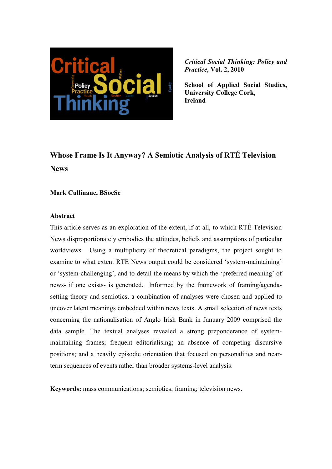

**School of Applied Social Studies, University College Cork, Ireland** 

# **Whose Frame Is It Anyway? A Semiotic Analysis of RTÉ Television News**

### **Mark Cullinane, BSocSc**

#### **Abstract**

This article serves as an exploration of the extent, if at all, to which RTÉ Television News disproportionately embodies the attitudes, beliefs and assumptions of particular worldviews. Using a multiplicity of theoretical paradigms, the project sought to examine to what extent RTÉ News output could be considered 'system-maintaining' or 'system-challenging', and to detail the means by which the 'preferred meaning' of news- if one exists- is generated. Informed by the framework of framing/agendasetting theory and semiotics, a combination of analyses were chosen and applied to uncover latent meanings embedded within news texts. A small selection of news texts concerning the nationalisation of Anglo Irish Bank in January 2009 comprised the data sample. The textual analyses revealed a strong preponderance of systemmaintaining frames; frequent editorialising; an absence of competing discursive positions; and a heavily episodic orientation that focused on personalities and nearterm sequences of events rather than broader systems-level analysis.

**Keywords:** mass communications; semiotics; framing; television news.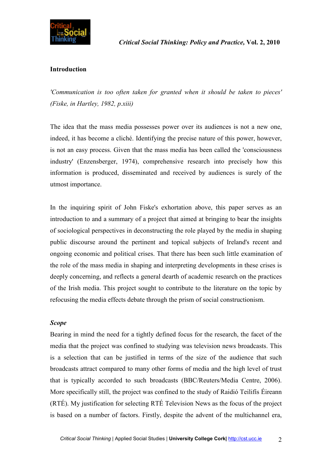

# **Introduction**

*'Communication is too often taken for granted when it should be taken to pieces' (Fiske, in Hartley, 1982, p.xiii)* 

The idea that the mass media possesses power over its audiences is not a new one, indeed, it has become a cliché. Identifying the precise nature of this power, however, is not an easy process. Given that the mass media has been called the 'consciousness industry' (Enzensberger, 1974), comprehensive research into precisely how this information is produced, disseminated and received by audiences is surely of the utmost importance.

In the inquiring spirit of John Fiske's exhortation above, this paper serves as an introduction to and a summary of a project that aimed at bringing to bear the insights of sociological perspectives in deconstructing the role played by the media in shaping public discourse around the pertinent and topical subjects of Ireland's recent and ongoing economic and political crises. That there has been such little examination of the role of the mass media in shaping and interpreting developments in these crises is deeply concerning, and reflects a general dearth of academic research on the practices of the Irish media. This project sought to contribute to the literature on the topic by refocusing the media effects debate through the prism of social constructionism.

### *Scope*

Bearing in mind the need for a tightly defined focus for the research, the facet of the media that the project was confined to studying was television news broadcasts. This is a selection that can be justified in terms of the size of the audience that such broadcasts attract compared to many other forms of media and the high level of trust that is typically accorded to such broadcasts (BBC/Reuters/Media Centre, 2006). More specifically still, the project was confined to the study of Raidió Teilifís Éireann (RTÉ). My justification for selecting RTÉ Television News as the focus of the project is based on a number of factors. Firstly, despite the advent of the multichannel era,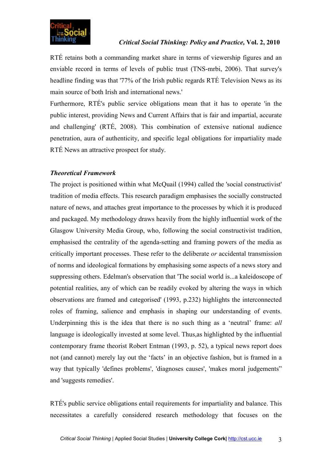

RTÉ retains both a commanding market share in terms of viewership figures and an enviable record in terms of levels of public trust (TNS-mrbi, 2006). That survey's headline finding was that '77% of the Irish public regards RTÉ Television News as its main source of both Irish and international news.'

Furthermore, RTÉ's public service obligations mean that it has to operate 'in the public interest, providing News and Current Affairs that is fair and impartial, accurate and challenging' (RTÉ, 2008). This combination of extensive national audience penetration, aura of authenticity, and specific legal obligations for impartiality made RTÉ News an attractive prospect for study.

# *Theoretical Framework*

The project is positioned within what McQuail (1994) called the 'social constructivist' tradition of media effects. This research paradigm emphasises the socially constructed nature of news, and attaches great importance to the processes by which it is produced and packaged. My methodology draws heavily from the highly influential work of the Glasgow University Media Group, who, following the social constructivist tradition, emphasised the centrality of the agenda-setting and framing powers of the media as critically important processes. These refer to the deliberate *or* accidental transmission of norms and ideological formations by emphasising some aspects of a news story and suppressing others. Edelman's observation that 'The social world is...a kaleidoscope of potential realities, any of which can be readily evoked by altering the ways in which observations are framed and categorised' (1993, p.232) highlights the interconnected roles of framing, salience and emphasis in shaping our understanding of events. Underpinning this is the idea that there is no such thing as a 'neutral' frame: *all*  language is ideologically invested at some level. Thus,as highlighted by the influential contemporary frame theorist Robert Entman (1993, p. 52), a typical news report does not (and cannot) merely lay out the 'facts' in an objective fashion, but is framed in a way that typically 'defines problems', 'diagnoses causes', 'makes moral judgements" and 'suggests remedies'.

RTÉ's public service obligations entail requirements for impartiality and balance. This necessitates a carefully considered research methodology that focuses on the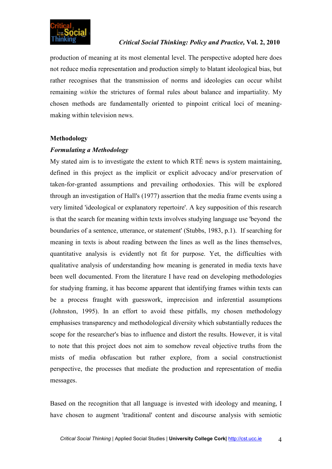

production of meaning at its most elemental level. The perspective adopted here does not reduce media representation and production simply to blatant ideological bias, but rather recognises that the transmission of norms and ideologies can occur whilst remaining *within* the strictures of formal rules about balance and impartiality. My chosen methods are fundamentally oriented to pinpoint critical loci of meaningmaking within television news.

### **Methodology**

### *Formulating a Methodology*

My stated aim is to investigate the extent to which RTÉ news is system maintaining, defined in this project as the implicit or explicit advocacy and/or preservation of taken-for-granted assumptions and prevailing orthodoxies. This will be explored through an investigation of Hall's (1977) assertion that the media frame events using a very limited 'ideological or explanatory repertoire'. A key supposition of this research is that the search for meaning within texts involves studying language use 'beyond the boundaries of a sentence, utterance, or statement' (Stubbs, 1983, p.1). If searching for meaning in texts is about reading between the lines as well as the lines themselves, quantitative analysis is evidently not fit for purpose. Yet, the difficulties with qualitative analysis of understanding how meaning is generated in media texts have been well documented. From the literature I have read on developing methodologies for studying framing, it has become apparent that identifying frames within texts can be a process fraught with guesswork, imprecision and inferential assumptions (Johnston, 1995). In an effort to avoid these pitfalls, my chosen methodology emphasises transparency and methodological diversity which substantially reduces the scope for the researcher's bias to influence and distort the results. However, it is vital to note that this project does not aim to somehow reveal objective truths from the mists of media obfuscation but rather explore, from a social constructionist perspective, the processes that mediate the production and representation of media messages.

Based on the recognition that all language is invested with ideology and meaning, I have chosen to augment 'traditional' content and discourse analysis with semiotic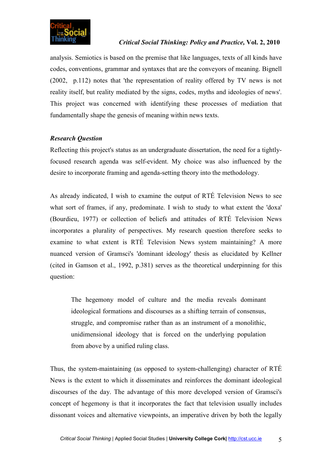

analysis. Semiotics is based on the premise that like languages, texts of all kinds have codes, conventions, grammar and syntaxes that are the conveyors of meaning. Bignell (2002, p.112) notes that 'the representation of reality offered by TV news is not reality itself, but reality mediated by the signs, codes, myths and ideologies of news'. This project was concerned with identifying these processes of mediation that fundamentally shape the genesis of meaning within news texts.

# *Research Question*

Reflecting this project's status as an undergraduate dissertation, the need for a tightlyfocused research agenda was self-evident. My choice was also influenced by the desire to incorporate framing and agenda-setting theory into the methodology.

As already indicated, I wish to examine the output of RTÉ Television News to see what sort of frames, if any, predominate. I wish to study to what extent the 'doxa' (Bourdieu, 1977) or collection of beliefs and attitudes of RTÉ Television News incorporates a plurality of perspectives. My research question therefore seeks to examine to what extent is RTÉ Television News system maintaining? A more nuanced version of Gramsci's 'dominant ideology' thesis as elucidated by Kellner (cited in Gamson et al., 1992, p.381) serves as the theoretical underpinning for this question:

The hegemony model of culture and the media reveals dominant ideological formations and discourses as a shifting terrain of consensus, struggle, and compromise rather than as an instrument of a monolithic, unidimensional ideology that is forced on the underlying population from above by a unified ruling class.

Thus, the system-maintaining (as opposed to system-challenging) character of RTÉ News is the extent to which it disseminates and reinforces the dominant ideological discourses of the day. The advantage of this more developed version of Gramsci's concept of hegemony is that it incorporates the fact that television usually includes dissonant voices and alternative viewpoints, an imperative driven by both the legally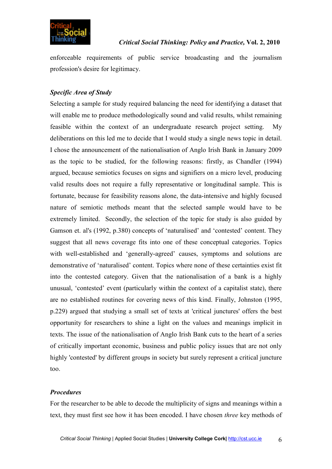

enforceable requirements of public service broadcasting and the journalism profession's desire for legitimacy.

# *Specific Area of Study*

Selecting a sample for study required balancing the need for identifying a dataset that will enable me to produce methodologically sound and valid results, whilst remaining feasible within the context of an undergraduate research project setting. My deliberations on this led me to decide that I would study a single news topic in detail. I chose the announcement of the nationalisation of Anglo Irish Bank in January 2009 as the topic to be studied, for the following reasons: firstly, as Chandler (1994) argued, because semiotics focuses on signs and signifiers on a micro level, producing valid results does not require a fully representative or longitudinal sample. This is fortunate, because for feasibility reasons alone, the data-intensive and highly focused nature of semiotic methods meant that the selected sample would have to be extremely limited. Secondly, the selection of the topic for study is also guided by Gamson et. al's (1992, p.380) concepts of 'naturalised' and 'contested' content. They suggest that all news coverage fits into one of these conceptual categories. Topics with well-established and 'generally-agreed' causes, symptoms and solutions are demonstrative of 'naturalised' content. Topics where none of these certainties exist fit into the contested category. Given that the nationalisation of a bank is a highly unusual, 'contested' event (particularly within the context of a capitalist state), there are no established routines for covering news of this kind. Finally, Johnston (1995, p.229) argued that studying a small set of texts at 'critical junctures' offers the best opportunity for researchers to shine a light on the values and meanings implicit in texts. The issue of the nationalisation of Anglo Irish Bank cuts to the heart of a series of critically important economic, business and public policy issues that are not only highly 'contested' by different groups in society but surely represent a critical juncture too.

### *Procedures*

For the researcher to be able to decode the multiplicity of signs and meanings within a text, they must first see how it has been encoded. I have chosen *three* key methods of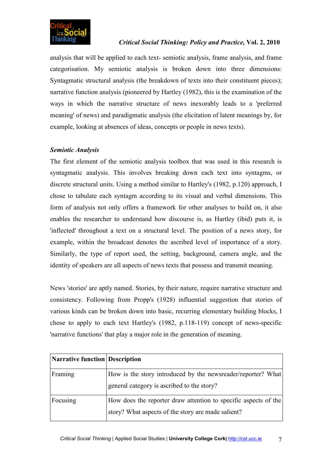

analysis that will be applied to each text- semiotic analysis, frame analysis, and frame categorisation. My semiotic analysis is broken down into three dimensions: Syntagmatic structural analysis (the breakdown of texts into their constituent pieces); narrative function analysis (pioneered by Hartley (1982), this is the examination of the ways in which the narrative structure of news inexorably leads to a 'preferred meaning' of news) and paradigmatic analysis (the elicitation of latent meanings by, for example, looking at absences of ideas, concepts or people in news texts).

### *Semiotic Analysis*

The first element of the semiotic analysis toolbox that was used in this research is syntagmatic analysis. This involves breaking down each text into syntagms, or discrete structural units. Using a method similar to Hartley's (1982, p.120) approach, I chose to tabulate each syntagm according to its visual and verbal dimensions. This form of analysis not only offers a framework for other analyses to build on, it also enables the researcher to understand how discourse is, as Hartley (ibid) puts it, is 'inflected' throughout a text on a structural level. The position of a news story, for example, within the broadcast denotes the ascribed level of importance of a story. Similarly, the type of report used, the setting, background, camera angle, and the identity of speakers are all aspects of news texts that possess and transmit meaning.

News 'stories' are aptly named. Stories, by their nature, require narrative structure and consistency. Following from Propp's (1928) influential suggestion that stories of various kinds can be broken down into basic, recurring elementary building blocks, I chose to apply to each text Hartley's (1982, p.118-119) concept of news-specific 'narrative functions' that play a major role in the generation of meaning.

| <b>Narrative function Description</b> |                                                                                                                       |
|---------------------------------------|-----------------------------------------------------------------------------------------------------------------------|
| Framing                               | How is the story introduced by the newsreader/reporter? What<br>general category is ascribed to the story?            |
| Focusing                              | How does the reporter draw attention to specific aspects of the<br>story? What aspects of the story are made salient? |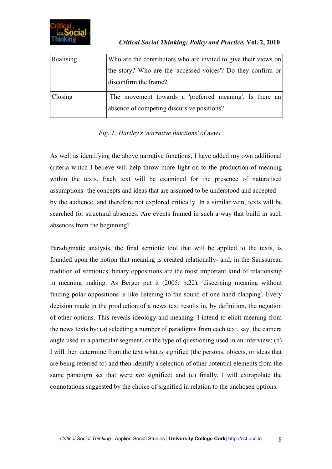

| Realising | Who are the contributors who are invited to give their views on                                       |
|-----------|-------------------------------------------------------------------------------------------------------|
|           | the story? Who are the 'accessed voices'? Do they confirm or                                          |
|           | disconfirm the frame?                                                                                 |
| Closing   | The movement towards a 'preferred meaning'. Is there an<br>absence of competing discursive positions? |

# *Fig. 1: Hartley's 'narrative functions' of news*

As well as identifying the above narrative functions, I have added my own additional criteria which I believe will help throw more light on to the production of meaning within the texts. Each text will be examined for the presence of naturalised assumptions- the concepts and ideas that are assumed to be understood and accepted by the audience, and therefore not explored critically. In a similar vein, texts will be searched for structural absences. Are events framed in such a way that build in such absences from the beginning?

Paradigmatic analysis, the final semiotic tool that will be applied to the texts, is founded upon the notion that meaning is created relationally- and, in the Saussurean tradition of semiotics, binary oppositions are the most important kind of relationship in meaning making. As Berger put it (2005, p.22), 'discerning meaning without finding polar oppositions is like listening to the sound of one hand clapping'. Every decision made in the production of a news text results in, by definition, the negation of other options. This reveals ideology and meaning. I intend to elicit meaning from the news texts by: (a) selecting a number of paradigms from each text, say, the camera angle used in a particular segment, or the type of questioning used in an interview; (b) I will then determine from the text what *is* signified (the persons, objects, or ideas that are being referred to) and then identify a selection of other potential elements from the same paradigm set that were *not* signified; and (c) finally, I will extrapolate the connotations suggested by the choice of signified in relation to the unchosen options.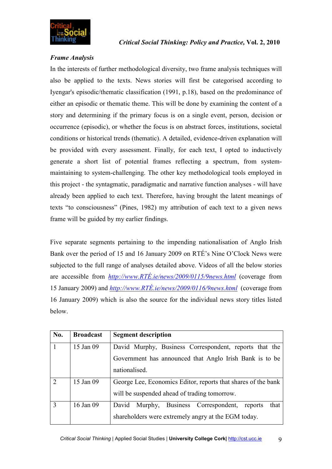

# *Frame Analysis*

In the interests of further methodological diversity, two frame analysis techniques will also be applied to the texts. News stories will first be categorised according to Iyengar's episodic/thematic classification (1991, p.18), based on the predominance of either an episodic or thematic theme. This will be done by examining the content of a story and determining if the primary focus is on a single event, person, decision or occurrence (episodic), or whether the focus is on abstract forces, institutions, societal conditions or historical trends (thematic). A detailed, evidence-driven explanation will be provided with every assessment. Finally, for each text, I opted to inductively generate a short list of potential frames reflecting a spectrum, from systemmaintaining to system-challenging. The other key methodological tools employed in this project - the syntagmatic, paradigmatic and narrative function analyses - will have already been applied to each text. Therefore, having brought the latent meanings of texts "to consciousness" (Pines, 1982) my attribution of each text to a given news frame will be guided by my earlier findings.

Five separate segments pertaining to the impending nationalisation of Anglo Irish Bank over the period of 15 and 16 January 2009 on RTÉ's Nine O'Clock News were subjected to the full range of analyses detailed above. Videos of all the below stories are accessible from *http://www.RTÉ.ie/news/2009/0115/9news.html* (coverage from 15 January 2009) and *http://www.RTÉ.ie/news/2009/0116/9news.html* (coverage from 16 January 2009) which is also the source for the individual news story titles listed below.

| No.                         | <b>Broadcast</b> | <b>Segment description</b>                                    |
|-----------------------------|------------------|---------------------------------------------------------------|
|                             | 15 Jan 09        | David Murphy, Business Correspondent, reports that the        |
|                             |                  | Government has announced that Anglo Irish Bank is to be       |
|                             |                  | nationalised.                                                 |
| $\mathcal{D}_{\mathcal{L}}$ | 15 Jan 09        | George Lee, Economics Editor, reports that shares of the bank |
|                             |                  | will be suspended ahead of trading tomorrow.                  |
| $\mathcal{R}$               | 16 Jan 09        | that<br>David Murphy, Business Correspondent,<br>reports      |
|                             |                  | shareholders were extremely angry at the EGM today.           |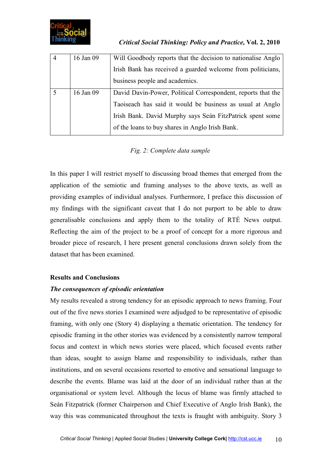| 16 Jan 09 | Will Goodbody reports that the decision to nationalise Anglo |
|-----------|--------------------------------------------------------------|
|           | Irish Bank has received a guarded welcome from politicians,  |
|           | business people and academics.                               |
| 16 Jan 09 | David Davin-Power, Political Correspondent, reports that the |
|           | Taoiseach has said it would be business as usual at Anglo    |
|           | Irish Bank. David Murphy says Seán FitzPatrick spent some    |
|           | of the loans to buy shares in Anglo Irish Bank.              |

*Fig. 2: Complete data sample* 

In this paper I will restrict myself to discussing broad themes that emerged from the application of the semiotic and framing analyses to the above texts, as well as providing examples of individual analyses. Furthermore, I preface this discussion of my findings with the significant caveat that I do not purport to be able to draw generalisable conclusions and apply them to the totality of RTÉ News output. Reflecting the aim of the project to be a proof of concept for a more rigorous and broader piece of research, I here present general conclusions drawn solely from the dataset that has been examined.

# **Results and Conclusions**

# *The consequences of episodic orientation*

My results revealed a strong tendency for an episodic approach to news framing. Four out of the five news stories I examined were adjudged to be representative of episodic framing, with only one (Story 4) displaying a thematic orientation. The tendency for episodic framing in the other stories was evidenced by a consistently narrow temporal focus and context in which news stories were placed, which focused events rather than ideas, sought to assign blame and responsibility to individuals, rather than institutions, and on several occasions resorted to emotive and sensational language to describe the events. Blame was laid at the door of an individual rather than at the organisational or system level. Although the locus of blame was firmly attached to Seán Fitzpatrick (former Chairperson and Chief Executive of Anglo Irish Bank), the way this was communicated throughout the texts is fraught with ambiguity. Story 3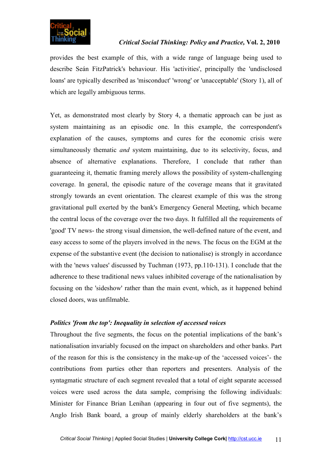

provides the best example of this, with a wide range of language being used to describe Seán FitzPatrick's behaviour. His 'activities', principally the 'undisclosed loans' are typically described as 'misconduct' 'wrong' or 'unacceptable' (Story 1), all of which are legally ambiguous terms.

Yet, as demonstrated most clearly by Story 4, a thematic approach can be just as system maintaining as an episodic one. In this example, the correspondent's explanation of the causes, symptoms and cures for the economic crisis were simultaneously thematic *and* system maintaining, due to its selectivity, focus, and absence of alternative explanations. Therefore, I conclude that rather than guaranteeing it, thematic framing merely allows the possibility of system-challenging coverage. In general, the episodic nature of the coverage means that it gravitated strongly towards an event orientation. The clearest example of this was the strong gravitational pull exerted by the bank's Emergency General Meeting, which became the central locus of the coverage over the two days. It fulfilled all the requirements of 'good' TV news- the strong visual dimension, the well-defined nature of the event, and easy access to some of the players involved in the news. The focus on the EGM at the expense of the substantive event (the decision to nationalise) is strongly in accordance with the 'news values' discussed by Tuchman (1973, pp.110-131). I conclude that the adherence to these traditional news values inhibited coverage of the nationalisation by focusing on the 'sideshow' rather than the main event, which, as it happened behind closed doors, was unfilmable.

# *Politics 'from the top': Inequality in selection of accessed voices*

Throughout the five segments, the focus on the potential implications of the bank's nationalisation invariably focused on the impact on shareholders and other banks. Part of the reason for this is the consistency in the make-up of the 'accessed voices'- the contributions from parties other than reporters and presenters. Analysis of the syntagmatic structure of each segment revealed that a total of eight separate accessed voices were used across the data sample, comprising the following individuals: Minister for Finance Brian Lenihan (appearing in four out of five segments), the Anglo Irish Bank board, a group of mainly elderly shareholders at the bank's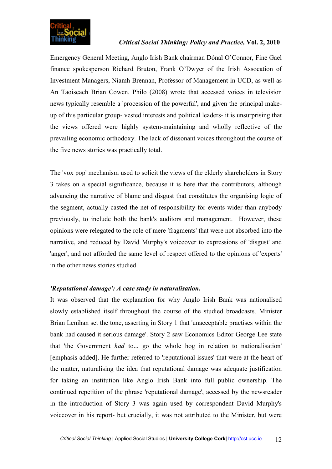

Emergency General Meeting, Anglo Irish Bank chairman Dónal O'Connor, Fine Gael finance spokesperson Richard Bruton, Frank O'Dwyer of the Irish Assocation of Investment Managers, Niamh Brennan, Professor of Management in UCD, as well as An Taoiseach Brian Cowen. Philo (2008) wrote that accessed voices in television news typically resemble a 'procession of the powerful', and given the principal makeup of this particular group- vested interests and political leaders- it is unsurprising that the views offered were highly system-maintaining and wholly reflective of the prevailing economic orthodoxy. The lack of dissonant voices throughout the course of the five news stories was practically total.

The 'vox pop' mechanism used to solicit the views of the elderly shareholders in Story 3 takes on a special significance, because it is here that the contributors, although advancing the narrative of blame and disgust that constitutes the organising logic of the segment, actually casted the net of responsibility for events wider than anybody previously, to include both the bank's auditors and management. However, these opinions were relegated to the role of mere 'fragments' that were not absorbed into the narrative, and reduced by David Murphy's voiceover to expressions of 'disgust' and 'anger', and not afforded the same level of respect offered to the opinions of 'experts' in the other news stories studied.

# *'Reputational damage': A case study in naturalisation.*

It was observed that the explanation for why Anglo Irish Bank was nationalised slowly established itself throughout the course of the studied broadcasts. Minister Brian Lenihan set the tone, asserting in Story 1 that 'unacceptable practises within the bank had caused it serious damage'. Story 2 saw Economics Editor George Lee state that 'the Government *had* to... go the whole hog in relation to nationalisation' [emphasis added]. He further referred to 'reputational issues' that were at the heart of the matter, naturalising the idea that reputational damage was adequate justification for taking an institution like Anglo Irish Bank into full public ownership. The continued repetition of the phrase 'reputational damage', accessed by the newsreader in the introduction of Story 3 was again used by correspondent David Murphy's voiceover in his report- but crucially, it was not attributed to the Minister, but were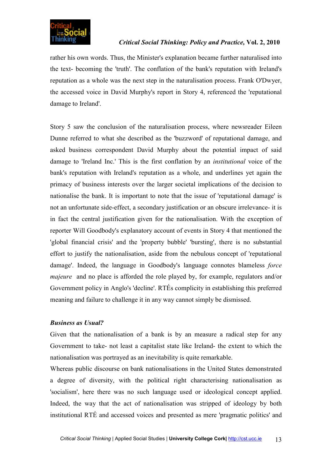

rather his own words. Thus, the Minister's explanation became further naturalised into the text- becoming the 'truth'. The conflation of the bank's reputation with Ireland's reputation as a whole was the next step in the naturalisation process. Frank O'Dwyer, the accessed voice in David Murphy's report in Story 4, referenced the 'reputational damage to Ireland'.

Story 5 saw the conclusion of the naturalisation process, where newsreader Eileen Dunne referred to what she described as the 'buzzword' of reputational damage, and asked business correspondent David Murphy about the potential impact of said damage to 'Ireland Inc.' This is the first conflation by an *institutional* voice of the bank's reputation with Ireland's reputation as a whole, and underlines yet again the primacy of business interests over the larger societal implications of the decision to nationalise the bank. It is important to note that the issue of 'reputational damage' is not an unfortunate side-effect, a secondary justification or an obscure irrelevance- it is in fact the central justification given for the nationalisation. With the exception of reporter Will Goodbody's explanatory account of events in Story 4 that mentioned the 'global financial crisis' and the 'property bubble' 'bursting', there is no substantial effort to justify the nationalisation, aside from the nebulous concept of 'reputational damage'. Indeed, the language in Goodbody's language connotes blameless *force majeure* and no place is afforded the role played by, for example, regulators and/or Government policy in Anglo's 'decline'. RTÉs complicity in establishing this preferred meaning and failure to challenge it in any way cannot simply be dismissed.

### *Business as Usual?*

Given that the nationalisation of a bank is by an measure a radical step for any Government to take- not least a capitalist state like Ireland- the extent to which the nationalisation was portrayed as an inevitability is quite remarkable.

Whereas public discourse on bank nationalisations in the United States demonstrated a degree of diversity, with the political right characterising nationalisation as 'socialism', here there was no such language used or ideological concept applied. Indeed, the way that the act of nationalisation was stripped of ideology by both institutional RTÉ and accessed voices and presented as mere 'pragmatic politics' and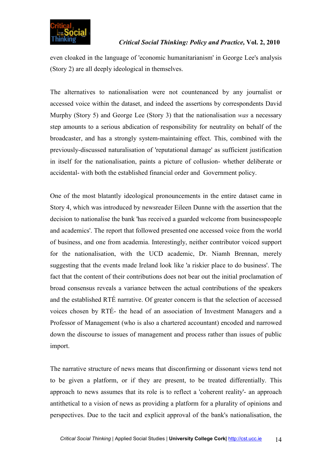

even cloaked in the language of 'economic humanitarianism' in George Lee's analysis (Story 2) are all deeply ideological in themselves.

The alternatives to nationalisation were not countenanced by any journalist or accessed voice within the dataset, and indeed the assertions by correspondents David Murphy (Story 5) and George Lee (Story 3) that the nationalisation *was* a necessary step amounts to a serious abdication of responsibility for neutrality on behalf of the broadcaster, and has a strongly system-maintaining effect. This, combined with the previously-discussed naturalisation of 'reputational damage' as sufficient justification in itself for the nationalisation, paints a picture of collusion- whether deliberate or accidental- with both the established financial order and Government policy.

One of the most blatantly ideological pronouncements in the entire dataset came in Story 4, which was introduced by newsreader Eileen Dunne with the assertion that the decision to nationalise the bank 'has received a guarded welcome from businesspeople and academics'. The report that followed presented one accessed voice from the world of business, and one from academia. Interestingly, neither contributor voiced support for the nationalisation, with the UCD academic, Dr. Niamh Brennan, merely suggesting that the events made Ireland look like 'a riskier place to do business'. The fact that the content of their contributions does not bear out the initial proclamation of broad consensus reveals a variance between the actual contributions of the speakers and the established RTÉ narrative. Of greater concern is that the selection of accessed voices chosen by RTÉ- the head of an association of Investment Managers and a Professor of Management (who is also a chartered accountant) encoded and narrowed down the discourse to issues of management and process rather than issues of public import.

The narrative structure of news means that disconfirming or dissonant views tend not to be given a platform, or if they are present, to be treated differentially. This approach to news assumes that its role is to reflect a 'coherent reality'- an approach antithetical to a vision of news as providing a platform for a plurality of opinions and perspectives. Due to the tacit and explicit approval of the bank's nationalisation, the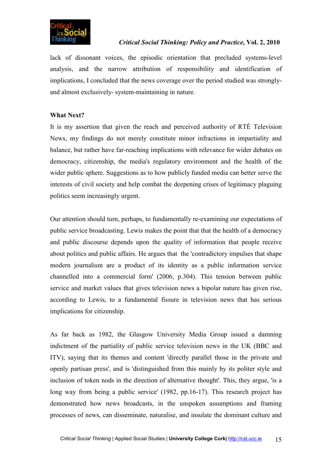

lack of dissonant voices, the episodic orientation that precluded systems-level analysis, and the narrow attribution of responsibility and identification of implications, I concluded that the news coverage over the period studied was stronglyand almost exclusively- system-maintaining in nature.

# **What Next?**

It is my assertion that given the reach and perceived authority of RTÉ Television News, my findings do not merely constitute minor infractions in impartiality and balance, but rather have far-reaching implications with relevance for wider debates on democracy, citizenship, the media's regulatory environment and the health of the wider public sphere. Suggestions as to how publicly funded media can better serve the interests of civil society and help combat the deepening crises of legitimacy plaguing politics seem increasingly urgent.

Our attention should turn, perhaps, to fundamentally re-examining our expectations of public service broadcasting. Lewis makes the point that that the health of a democracy and public discourse depends upon the quality of information that people receive about politics and public affairs. He argues that the 'contradictory impulses that shape modern journalism are a product of its identity as a public information service channelled into a commercial form' (2006, p.304). This tension between public service and market values that gives television news a bipolar nature has given rise, according to Lewis, to a fundamental fissure in television news that has serious implications for citizenship.

As far back as 1982, the Glasgow University Media Group issued a damning indictment of the partiality of public service television news in the UK (BBC and ITV), saying that its themes and content 'directly parallel those in the private and openly partisan press', and is 'distinguished from this mainly by its politer style and inclusion of token nods in the direction of alternative thought'. This, they argue, 'is a long way from being a public service' (1982, pp.16-17). This research project has demonstrated how news broadcasts, in the unspoken assumptions and framing processes of news, can disseminate, naturalise, and insulate the dominant culture and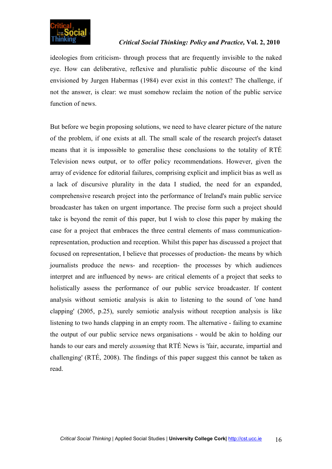

ideologies from criticism- through process that are frequently invisible to the naked eye. How can deliberative, reflexive and pluralistic public discourse of the kind envisioned by Jurgen Habermas (1984) ever exist in this context? The challenge, if not the answer, is clear: we must somehow reclaim the notion of the public service function of news.

But before we begin proposing solutions, we need to have clearer picture of the nature of the problem, if one exists at all. The small scale of the research project's dataset means that it is impossible to generalise these conclusions to the totality of RTÉ Television news output, or to offer policy recommendations. However, given the array of evidence for editorial failures, comprising explicit and implicit bias as well as a lack of discursive plurality in the data I studied, the need for an expanded, comprehensive research project into the performance of Ireland's main public service broadcaster has taken on urgent importance. The precise form such a project should take is beyond the remit of this paper, but I wish to close this paper by making the case for a project that embraces the three central elements of mass communicationrepresentation, production and reception. Whilst this paper has discussed a project that focused on representation, I believe that processes of production- the means by which journalists produce the news- and reception- the processes by which audiences interpret and are influenced by news- are critical elements of a project that seeks to holistically assess the performance of our public service broadcaster. If content analysis without semiotic analysis is akin to listening to the sound of 'one hand clapping' (2005, p.25), surely semiotic analysis without reception analysis is like listening to two hands clapping in an empty room. The alternative - failing to examine the output of our public service news organisations - would be akin to holding our hands to our ears and merely *assuming* that RTÉ News is 'fair, accurate, impartial and challenging' (RTÉ, 2008). The findings of this paper suggest this cannot be taken as read.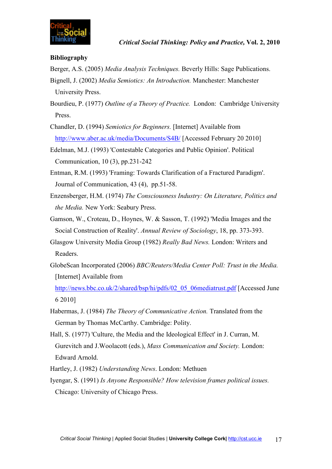

# **Bibliography**

- Berger, A.S. (2005) *Media Analysis Techniques.* Beverly Hills: Sage Publications.
- Bignell, J. (2002) *Media Semiotics: An Introduction.* Manchester: Manchester University Press.
- Bourdieu, P. (1977) *Outline of a Theory of Practice.* London: Cambridge University Press.
- Chandler, D. (1994) *Semiotics for Beginners.* [Internet] Available from http://www.aber.ac.uk/media/Documents/S4B/ [Accessed February 20 2010]
- Edelman, M.J. (1993) 'Contestable Categories and Public Opinion'. Political Communication, 10 (3), pp.231-242
- Entman, R.M. (1993) 'Framing: Towards Clarification of a Fractured Paradigm'. Journal of Communication, 43 (4), pp.51-58.
- Enzensberger, H.M. (1974) *The Consciousness Industry: On Literature, Politics and the Media.* New York: Seabury Press.
- Gamson, W., Croteau, D., Hoynes, W. & Sasson, T. (1992) 'Media Images and the Social Construction of Reality'. *Annual Review of Sociology*, 18, pp. 373-393.
- Glasgow University Media Group (1982) *Really Bad News.* London: Writers and Readers.
- GlobeScan Incorporated (2006) *BBC/Reuters/Media Center Poll: Trust in the Media.*  [Internet] Available from

http://news.bbc.co.uk/2/shared/bsp/hi/pdfs/02\_05\_06mediatrust.pdf [Accessed June 6 2010]

- Habermas, J. (1984) *The Theory of Communicative Action.* Translated from the German by Thomas McCarthy. Cambridge: Polity.
- Hall, S. (1977) 'Culture, the Media and the Ideological Effect' in J. Curran, M. Gurevitch and J.Woolacott (eds.), *Mass Communication and Society.* London: Edward Arnold.
- Hartley, J. (1982) *Understanding News*. London: Methuen
- Iyengar, S. (1991) *Is Anyone Responsible? How television frames political issues.* Chicago: University of Chicago Press.